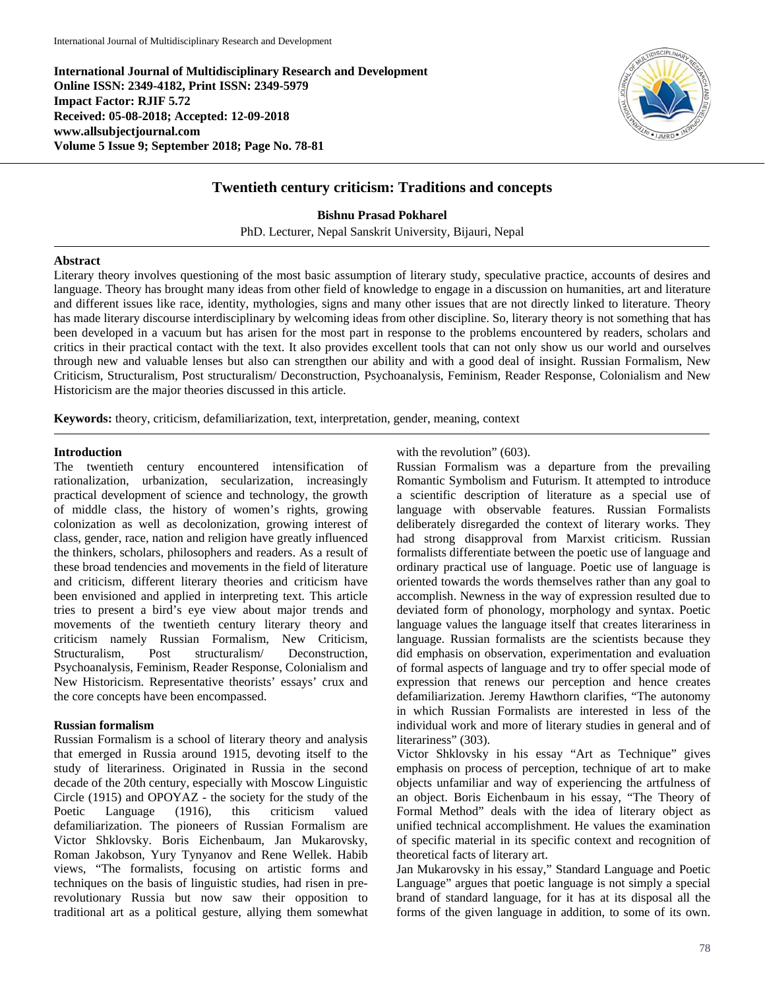**International Journal of Multidisciplinary Research and Development Online ISSN: 2349-4182, Print ISSN: 2349-5979 Impact Factor: RJIF 5.72 Received: 05-08-2018; Accepted: 12-09-2018 www.allsubjectjournal.com Volume 5 Issue 9; September 2018; Page No. 78-81**



# **Twentieth century criticism: Traditions and concepts**

**Bishnu Prasad Pokharel**

PhD. Lecturer, Nepal Sanskrit University, Bijauri, Nepal

## **Abstract**

Literary theory involves questioning of the most basic assumption of literary study, speculative practice, accounts of desires and language. Theory has brought many ideas from other field of knowledge to engage in a discussion on humanities, art and literature and different issues like race, identity, mythologies, signs and many other issues that are not directly linked to literature. Theory has made literary discourse interdisciplinary by welcoming ideas from other discipline. So, literary theory is not something that has been developed in a vacuum but has arisen for the most part in response to the problems encountered by readers, scholars and critics in their practical contact with the text. It also provides excellent tools that can not only show us our world and ourselves through new and valuable lenses but also can strengthen our ability and with a good deal of insight. Russian Formalism, New Criticism, Structuralism, Post structuralism/ Deconstruction, Psychoanalysis, Feminism, Reader Response, Colonialism and New Historicism are the major theories discussed in this article.

**Keywords:** theory, criticism, defamiliarization, text, interpretation, gender, meaning, context

# **Introduction**

The twentieth century encountered intensification of rationalization, urbanization, secularization, increasingly practical development of science and technology, the growth of middle class, the history of women's rights, growing colonization as well as decolonization, growing interest of class, gender, race, nation and religion have greatly influenced the thinkers, scholars, philosophers and readers. As a result of these broad tendencies and movements in the field of literature and criticism, different literary theories and criticism have been envisioned and applied in interpreting text. This article tries to present a bird's eye view about major trends and movements of the twentieth century literary theory and criticism namely Russian Formalism, New Criticism, Structuralism, Post structuralism/ Deconstruction, Psychoanalysis, Feminism, Reader Response, Colonialism and New Historicism. Representative theorists' essays' crux and the core concepts have been encompassed.

## **Russian formalism**

Russian Formalism is a school of literary theory and analysis that emerged in Russia around 1915, devoting itself to the study of literariness. Originated in Russia in the second decade of the 20th century, especially with Moscow Linguistic Circle (1915) and OPOYAZ - the society for the study of the Poetic Language (1916), this criticism valued defamiliarization. The pioneers of Russian Formalism are Victor Shklovsky. Boris Eichenbaum, Jan Mukarovsky, Roman Jakobson, Yury Tynyanov and Rene Wellek. Habib views, "The formalists, focusing on artistic forms and techniques on the basis of linguistic studies, had risen in prerevolutionary Russia but now saw their opposition to traditional art as a political gesture, allying them somewhat

with the revolution" (603).

Russian Formalism was a departure from the prevailing Romantic Symbolism and Futurism. It attempted to introduce a scientific description of literature as a special use of language with observable features. Russian Formalists deliberately disregarded the context of literary works. They had strong disapproval from Marxist criticism. Russian formalists differentiate between the poetic use of language and ordinary practical use of language. Poetic use of language is oriented towards the words themselves rather than any goal to accomplish. Newness in the way of expression resulted due to deviated form of phonology, morphology and syntax. Poetic language values the language itself that creates literariness in language. Russian formalists are the scientists because they did emphasis on observation, experimentation and evaluation of formal aspects of language and try to offer special mode of expression that renews our perception and hence creates defamiliarization. Jeremy Hawthorn clarifies, "The autonomy in which Russian Formalists are interested in less of the individual work and more of literary studies in general and of literariness" (303).

Victor Shklovsky in his essay "Art as Technique" gives emphasis on process of perception, technique of art to make objects unfamiliar and way of experiencing the artfulness of an object. Boris Eichenbaum in his essay, "The Theory of Formal Method" deals with the idea of literary object as unified technical accomplishment. He values the examination of specific material in its specific context and recognition of theoretical facts of literary art.

Jan Mukarovsky in his essay," Standard Language and Poetic Language" argues that poetic language is not simply a special brand of standard language, for it has at its disposal all the forms of the given language in addition, to some of its own.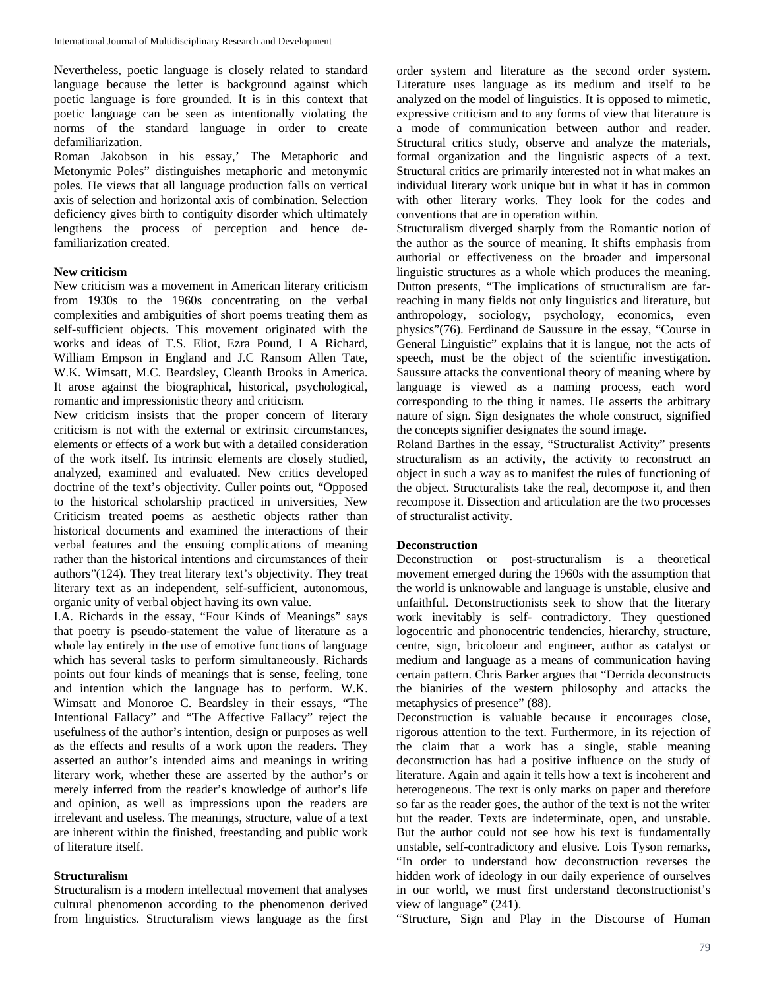Nevertheless, poetic language is closely related to standard language because the letter is background against which poetic language is fore grounded. It is in this context that poetic language can be seen as intentionally violating the norms of the standard language in order to create defamiliarization.

Roman Jakobson in his essay,' The Metaphoric and Metonymic Poles" distinguishes metaphoric and metonymic poles. He views that all language production falls on vertical axis of selection and horizontal axis of combination. Selection deficiency gives birth to contiguity disorder which ultimately lengthens the process of perception and hence defamiliarization created.

## **New criticism**

New criticism was a movement in American literary criticism from 1930s to the 1960s concentrating on the verbal complexities and ambiguities of short poems treating them as self-sufficient objects. This movement originated with the works and ideas of T.S. Eliot, Ezra Pound, I A Richard, William Empson in England and J.C Ransom Allen Tate, W.K. Wimsatt, M.C. Beardsley, Cleanth Brooks in America. It arose against the biographical, historical, psychological, romantic and impressionistic theory and criticism.

New criticism insists that the proper concern of literary criticism is not with the external or extrinsic circumstances, elements or effects of a work but with a detailed consideration of the work itself. Its intrinsic elements are closely studied, analyzed, examined and evaluated. New critics developed doctrine of the text's objectivity. Culler points out, "Opposed to the historical scholarship practiced in universities, New Criticism treated poems as aesthetic objects rather than historical documents and examined the interactions of their verbal features and the ensuing complications of meaning rather than the historical intentions and circumstances of their authors"(124). They treat literary text's objectivity. They treat literary text as an independent, self-sufficient, autonomous, organic unity of verbal object having its own value.

I.A. Richards in the essay, "Four Kinds of Meanings" says that poetry is pseudo-statement the value of literature as a whole lay entirely in the use of emotive functions of language which has several tasks to perform simultaneously. Richards points out four kinds of meanings that is sense, feeling, tone and intention which the language has to perform. W.K. Wimsatt and Monoroe C. Beardsley in their essays, "The Intentional Fallacy" and "The Affective Fallacy" reject the usefulness of the author's intention, design or purposes as well as the effects and results of a work upon the readers. They asserted an author's intended aims and meanings in writing literary work, whether these are asserted by the author's or merely inferred from the reader's knowledge of author's life and opinion, as well as impressions upon the readers are irrelevant and useless. The meanings, structure, value of a text are inherent within the finished, freestanding and public work of literature itself.

## **Structuralism**

Structuralism is a modern intellectual movement that analyses cultural phenomenon according to the phenomenon derived from linguistics. Structuralism views language as the first

order system and literature as the second order system. Literature uses language as its medium and itself to be analyzed on the model of linguistics. It is opposed to mimetic, expressive criticism and to any forms of view that literature is a mode of communication between author and reader. Structural critics study, observe and analyze the materials, formal organization and the linguistic aspects of a text. Structural critics are primarily interested not in what makes an individual literary work unique but in what it has in common with other literary works. They look for the codes and conventions that are in operation within.

Structuralism diverged sharply from the Romantic notion of the author as the source of meaning. It shifts emphasis from authorial or effectiveness on the broader and impersonal linguistic structures as a whole which produces the meaning. Dutton presents, "The implications of structuralism are farreaching in many fields not only linguistics and literature, but anthropology, sociology, psychology, economics, even physics"(76). Ferdinand de Saussure in the essay, "Course in General Linguistic" explains that it is langue, not the acts of speech, must be the object of the scientific investigation. Saussure attacks the conventional theory of meaning where by language is viewed as a naming process, each word corresponding to the thing it names. He asserts the arbitrary nature of sign. Sign designates the whole construct, signified the concepts signifier designates the sound image.

Roland Barthes in the essay, "Structuralist Activity" presents structuralism as an activity, the activity to reconstruct an object in such a way as to manifest the rules of functioning of the object. Structuralists take the real, decompose it, and then recompose it. Dissection and articulation are the two processes of structuralist activity.

## **Deconstruction**

Deconstruction or post-structuralism is a theoretical movement emerged during the 1960s with the assumption that the world is unknowable and language is unstable, elusive and unfaithful. Deconstructionists seek to show that the literary work inevitably is self- contradictory. They questioned logocentric and phonocentric tendencies, hierarchy, structure, centre, sign, bricoloeur and engineer, author as catalyst or medium and language as a means of communication having certain pattern. Chris Barker argues that "Derrida deconstructs the bianiries of the western philosophy and attacks the metaphysics of presence" (88).

Deconstruction is valuable because it encourages close, rigorous attention to the text. Furthermore, in its rejection of the claim that a work has a single, stable meaning deconstruction has had a positive influence on the study of literature. Again and again it tells how a text is incoherent and heterogeneous. The text is only marks on paper and therefore so far as the reader goes, the author of the text is not the writer but the reader. Texts are indeterminate, open, and unstable. But the author could not see how his text is fundamentally unstable, self-contradictory and elusive. Lois Tyson remarks, "In order to understand how deconstruction reverses the hidden work of ideology in our daily experience of ourselves in our world, we must first understand deconstructionist's view of language" (241).

"Structure, Sign and Play in the Discourse of Human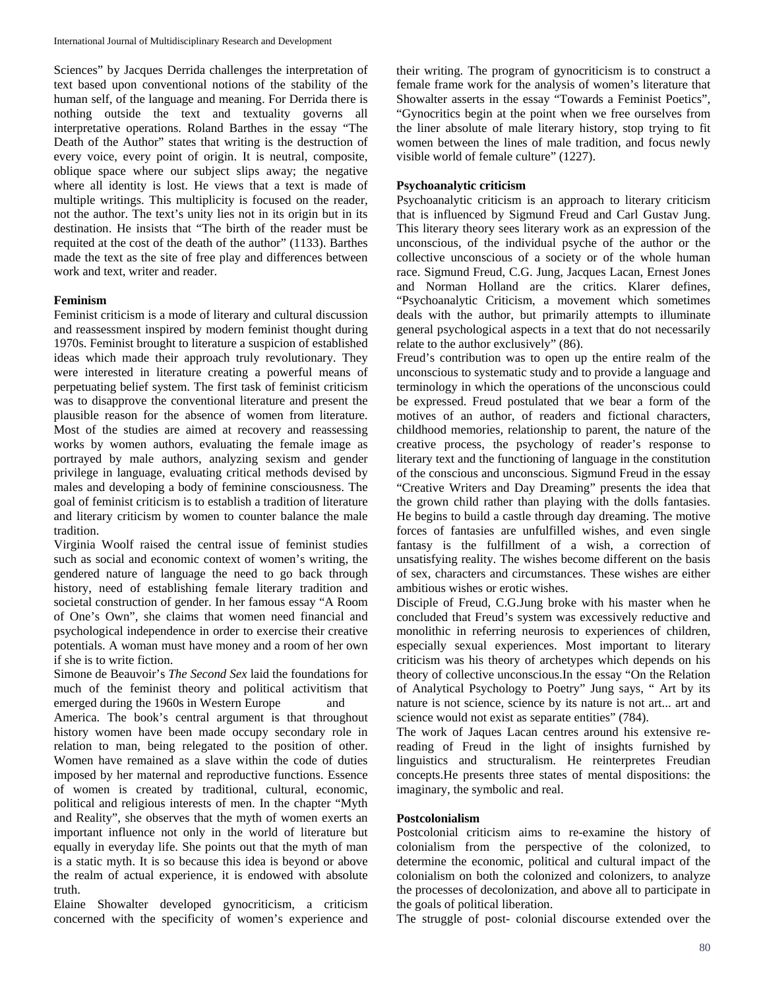Sciences" by Jacques Derrida challenges the interpretation of text based upon conventional notions of the stability of the human self, of the language and meaning. For Derrida there is nothing outside the text and textuality governs all interpretative operations. Roland Barthes in the essay "The Death of the Author" states that writing is the destruction of every voice, every point of origin. It is neutral, composite, oblique space where our subject slips away; the negative where all identity is lost. He views that a text is made of multiple writings. This multiplicity is focused on the reader, not the author. The text's unity lies not in its origin but in its destination. He insists that "The birth of the reader must be requited at the cost of the death of the author" (1133). Barthes made the text as the site of free play and differences between work and text, writer and reader.

## **Feminism**

Feminist criticism is a mode of literary and cultural discussion and reassessment inspired by modern feminist thought during 1970s. Feminist brought to literature a suspicion of established ideas which made their approach truly revolutionary. They were interested in literature creating a powerful means of perpetuating belief system. The first task of feminist criticism was to disapprove the conventional literature and present the plausible reason for the absence of women from literature. Most of the studies are aimed at recovery and reassessing works by women authors, evaluating the female image as portrayed by male authors, analyzing sexism and gender privilege in language, evaluating critical methods devised by males and developing a body of feminine consciousness. The goal of feminist criticism is to establish a tradition of literature and literary criticism by women to counter balance the male tradition.

Virginia Woolf raised the central issue of feminist studies such as social and economic context of women's writing, the gendered nature of language the need to go back through history, need of establishing female literary tradition and societal construction of gender. In her famous essay "A Room of One's Own", she claims that women need financial and psychological independence in order to exercise their creative potentials. A woman must have money and a room of her own if she is to write fiction.

Simone de Beauvoir's *The Second Sex* laid the foundations for much of the feminist theory and political activitism that emerged during the 1960s in Western Europe and America. The book's central argument is that throughout history women have been made occupy secondary role in relation to man, being relegated to the position of other. Women have remained as a slave within the code of duties imposed by her maternal and reproductive functions. Essence of women is created by traditional, cultural, economic, political and religious interests of men. In the chapter "Myth and Reality", she observes that the myth of women exerts an important influence not only in the world of literature but equally in everyday life. She points out that the myth of man is a static myth. It is so because this idea is beyond or above the realm of actual experience, it is endowed with absolute truth.

Elaine Showalter developed gynocriticism, a criticism concerned with the specificity of women's experience and

their writing. The program of gynocriticism is to construct a female frame work for the analysis of women's literature that Showalter asserts in the essay "Towards a Feminist Poetics", "Gynocritics begin at the point when we free ourselves from the liner absolute of male literary history, stop trying to fit women between the lines of male tradition, and focus newly visible world of female culture" (1227).

# **Psychoanalytic criticism**

Psychoanalytic criticism is an approach to literary criticism that is influenced by Sigmund Freud and Carl Gustav Jung. This literary theory sees literary work as an expression of the unconscious, of the individual psyche of the author or the collective unconscious of a society or of the whole human race. Sigmund Freud, C.G. Jung, Jacques Lacan, Ernest Jones and Norman Holland are the critics. Klarer defines, "Psychoanalytic Criticism, a movement which sometimes deals with the author, but primarily attempts to illuminate general psychological aspects in a text that do not necessarily relate to the author exclusively" (86).

Freud's contribution was to open up the entire realm of the unconscious to systematic study and to provide a language and terminology in which the operations of the unconscious could be expressed. Freud postulated that we bear a form of the motives of an author, of readers and fictional characters, childhood memories, relationship to parent, the nature of the creative process, the psychology of reader's response to literary text and the functioning of language in the constitution of the conscious and unconscious. Sigmund Freud in the essay "Creative Writers and Day Dreaming" presents the idea that the grown child rather than playing with the dolls fantasies. He begins to build a castle through day dreaming. The motive forces of fantasies are unfulfilled wishes, and even single fantasy is the fulfillment of a wish, a correction of unsatisfying reality. The wishes become different on the basis of sex, characters and circumstances. These wishes are either ambitious wishes or erotic wishes.

Disciple of Freud, C.G.Jung broke with his master when he concluded that Freud's system was excessively reductive and monolithic in referring neurosis to experiences of children, especially sexual experiences. Most important to literary criticism was his theory of archetypes which depends on his theory of collective unconscious.In the essay "On the Relation of Analytical Psychology to Poetry" Jung says, " Art by its nature is not science, science by its nature is not art... art and science would not exist as separate entities" (784).

The work of Jaques Lacan centres around his extensive rereading of Freud in the light of insights furnished by linguistics and structuralism. He reinterpretes Freudian concepts.He presents three states of mental dispositions: the imaginary, the symbolic and real.

## **Postcolonialism**

Postcolonial criticism aims to re-examine the history of colonialism from the perspective of the colonized, to determine the economic, political and cultural impact of the colonialism on both the colonized and colonizers, to analyze the processes of decolonization, and above all to participate in the goals of political liberation.

The struggle of post- colonial discourse extended over the